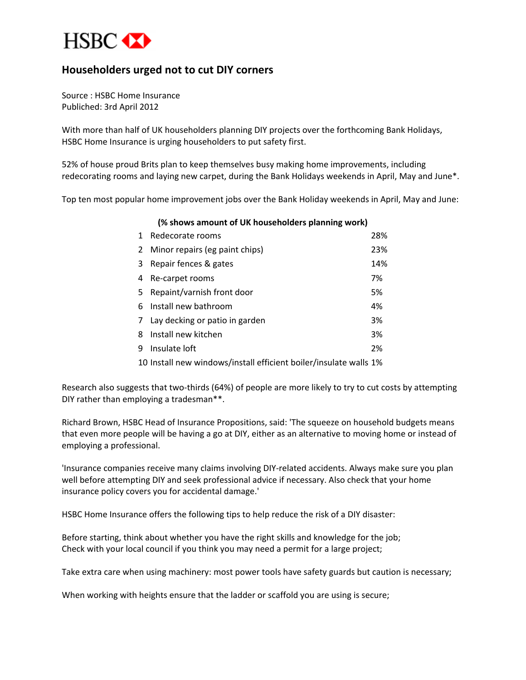

## **Householders urged not to cut DIY corners**

Source : HSBC Home Insurance Publiched: 3rd April 2012

With more than half of UK householders planning DIY projects over the forthcoming Bank Holidays, HSBC Home Insurance is urging householders to put safety first.

52% of house proud Brits plan to keep themselves busy making home improvements, including redecorating rooms and laying new carpet, during the Bank Holidays weekends in April, May and June\*.

Top ten most popular home improvement jobs over the Bank Holiday weekends in April, May and June:

**(% shows amount of UK householders planning work)**

| 1 | Redecorate rooms                                                  | 28% |
|---|-------------------------------------------------------------------|-----|
| 2 | Minor repairs (eg paint chips)                                    | 23% |
| 3 | Repair fences & gates                                             | 14% |
| 4 | Re-carpet rooms                                                   | 7%  |
| 5 | Repaint/varnish front door                                        | 5%  |
| 6 | Install new bathroom                                              | 4%  |
| 7 | Lay decking or patio in garden                                    | 3%  |
| 8 | Install new kitchen                                               | 3%  |
| 9 | Insulate loft                                                     | 2%  |
|   | 10 Install new windows/install efficient boiler/insulate walls 1% |     |

Research also suggests that two-thirds (64%) of people are more likely to try to cut costs by attempting DIY rather than employing a tradesman\*\*.

Richard Brown, HSBC Head of Insurance Propositions, said: 'The squeeze on household budgets means that even more people will be having a go at DIY, either as an alternative to moving home or instead of employing a professional.

'Insurance companies receive many claims involving DIY-related accidents. Always make sure you plan well before attempting DIY and seek professional advice if necessary. Also check that your home insurance policy covers you for accidental damage.'

HSBC Home Insurance offers the following tips to help reduce the risk of a DIY disaster:

Before starting, think about whether you have the right skills and knowledge for the job; Check with your local council if you think you may need a permit for a large project;

Take extra care when using machinery: most power tools have safety guards but caution is necessary;

When working with heights ensure that the ladder or scaffold you are using is secure;